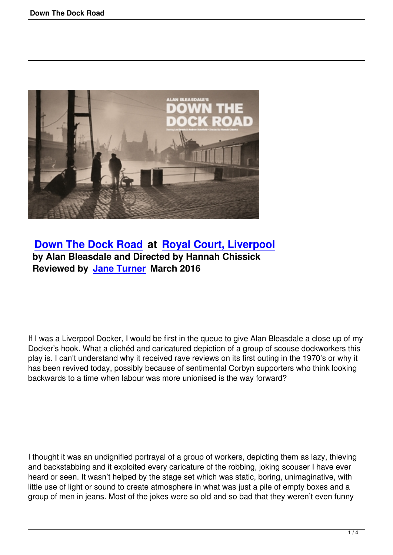

## **Down The Dock Road at Royal Court, Liverpool by Alan Bleasdale and Directed by Hannah Chissick [Reviewed by Jane Turner](down-the-dock-road.html) M[arch 2016](http://www.royalcourtliverpool.co.uk/)**

If I was a Liverpool Docker, I would be first in the queue to give Alan Bleasdale a close up of my Docker's hook. What a clichéd and caricatured depiction of a group of scouse dockworkers this play is. I can't understand why it received rave reviews on its first outing in the 1970's or why it has been revived today, possibly because of sentimental Corbyn supporters who think looking backwards to a time when labour was more unionised is the way forward?

I thought it was an undignified portrayal of a group of workers, depicting them as lazy, thieving and backstabbing and it exploited every caricature of the robbing, joking scouser I have ever heard or seen. It wasn't helped by the stage set which was static, boring, unimaginative, with little use of light or sound to create atmosphere in what was just a pile of empty boxes and a group of men in jeans. Most of the jokes were so old and so bad that they weren't even funny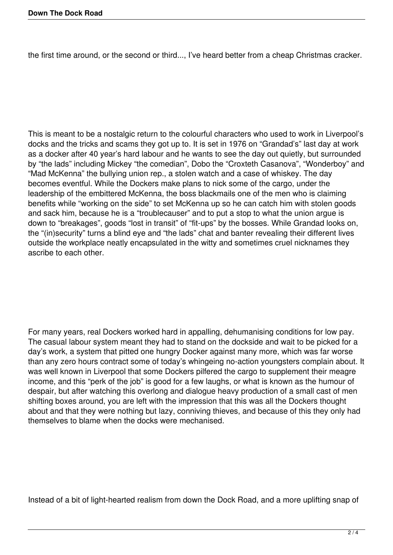the first time around, or the second or third..., I've heard better from a cheap Christmas cracker.

This is meant to be a nostalgic return to the colourful characters who used to work in Liverpool's docks and the tricks and scams they got up to. It is set in 1976 on "Grandad's" last day at work as a docker after 40 year's hard labour and he wants to see the day out quietly, but surrounded by "the lads" including Mickey "the comedian", Dobo the "Croxteth Casanova", "Wonderboy" and "Mad McKenna" the bullying union rep., a stolen watch and a case of whiskey. The day becomes eventful. While the Dockers make plans to nick some of the cargo, under the leadership of the embittered McKenna, the boss blackmails one of the men who is claiming benefits while "working on the side" to set McKenna up so he can catch him with stolen goods and sack him, because he is a "troublecauser" and to put a stop to what the union argue is down to "breakages", goods "lost in transit" of "fit-ups" by the bosses. While Grandad looks on, the "(in)security" turns a blind eye and "the lads" chat and banter revealing their different lives outside the workplace neatly encapsulated in the witty and sometimes cruel nicknames they ascribe to each other.

For many years, real Dockers worked hard in appalling, dehumanising conditions for low pay. The casual labour system meant they had to stand on the dockside and wait to be picked for a day's work, a system that pitted one hungry Docker against many more, which was far worse than any zero hours contract some of today's whingeing no-action youngsters complain about. It was well known in Liverpool that some Dockers pilfered the cargo to supplement their meagre income, and this "perk of the job" is good for a few laughs, or what is known as the humour of despair, but after watching this overlong and dialogue heavy production of a small cast of men shifting boxes around, you are left with the impression that this was all the Dockers thought about and that they were nothing but lazy, conniving thieves, and because of this they only had themselves to blame when the docks were mechanised.

Instead of a bit of light-hearted realism from down the Dock Road, and a more uplifting snap of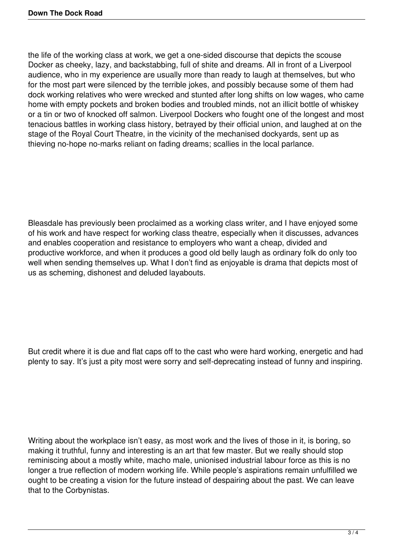the life of the working class at work, we get a one-sided discourse that depicts the scouse Docker as cheeky, lazy, and backstabbing, full of shite and dreams. All in front of a Liverpool audience, who in my experience are usually more than ready to laugh at themselves, but who for the most part were silenced by the terrible jokes, and possibly because some of them had dock working relatives who were wrecked and stunted after long shifts on low wages, who came home with empty pockets and broken bodies and troubled minds, not an illicit bottle of whiskey or a tin or two of knocked off salmon. Liverpool Dockers who fought one of the longest and most tenacious battles in working class history, betrayed by their official union, and laughed at on the stage of the Royal Court Theatre, in the vicinity of the mechanised dockyards, sent up as thieving no-hope no-marks reliant on fading dreams; scallies in the local parlance.

Bleasdale has previously been proclaimed as a working class writer, and I have enjoyed some of his work and have respect for working class theatre, especially when it discusses, advances and enables cooperation and resistance to employers who want a cheap, divided and productive workforce, and when it produces a good old belly laugh as ordinary folk do only too well when sending themselves up. What I don't find as enjoyable is drama that depicts most of us as scheming, dishonest and deluded layabouts.

But credit where it is due and flat caps off to the cast who were hard working, energetic and had plenty to say. It's just a pity most were sorry and self-deprecating instead of funny and inspiring.

Writing about the workplace isn't easy, as most work and the lives of those in it, is boring, so making it truthful, funny and interesting is an art that few master. But we really should stop reminiscing about a mostly white, macho male, unionised industrial labour force as this is no longer a true reflection of modern working life. While people's aspirations remain unfulfilled we ought to be creating a vision for the future instead of despairing about the past. We can leave that to the Corbynistas.